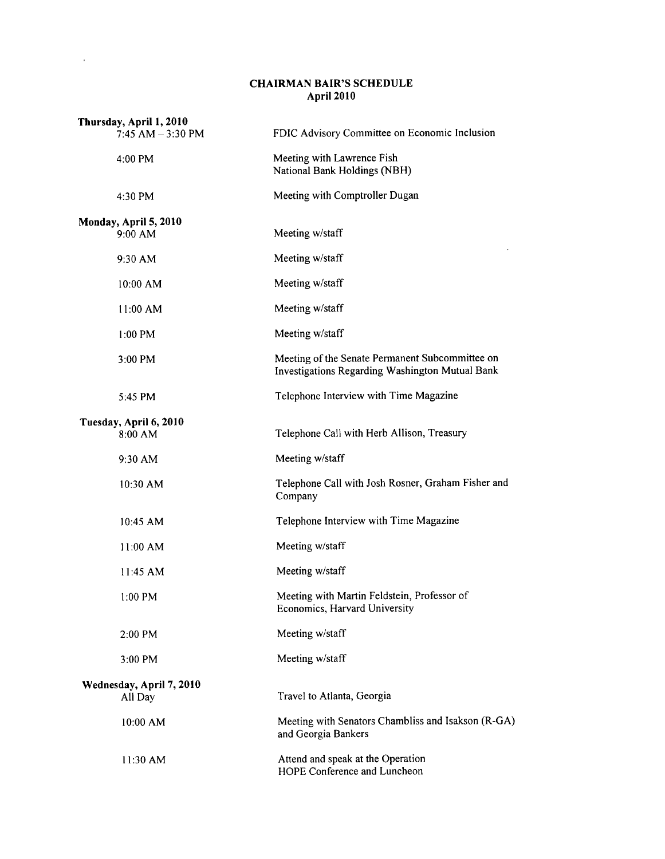## CHAIRMAN BAIR'S SCHEDULE April 2010

 $\sim 10^{-11}$ 

| Thursday, April 1, 2010<br>$7:45$ AM $-3:30$ PM | FDIC Advisory Committee on Economic Inclusion                                                      |
|-------------------------------------------------|----------------------------------------------------------------------------------------------------|
| 4:00 PM                                         | Meeting with Lawrence Fish<br>National Bank Holdings (NBH)                                         |
| 4:30 PM                                         | Meeting with Comptroller Dugan                                                                     |
| Monday, April 5, 2010                           |                                                                                                    |
| 9:00 AM                                         | Meeting w/staff                                                                                    |
| 9:30 AM                                         | Meeting w/staff                                                                                    |
| 10:00 AM                                        | Meeting w/staff                                                                                    |
| 11:00 AM                                        | Meeting w/staff                                                                                    |
| 1:00 PM                                         | Meeting w/staff                                                                                    |
| 3:00 PM                                         | Meeting of the Senate Permanent Subcommittee on<br>Investigations Regarding Washington Mutual Bank |
| 5:45 PM                                         | Telephone Interview with Time Magazine                                                             |
| Tuesday, April 6, 2010<br>8:00 AM               | Telephone Call with Herb Allison, Treasury                                                         |
| 9:30 AM                                         | Meeting w/staff                                                                                    |
| 10:30 AM                                        | Telephone Call with Josh Rosner, Graham Fisher and<br>Company                                      |
| 10:45 AM                                        | Telephone Interview with Time Magazine                                                             |
| 11:00 AM                                        | Meeting w/staff                                                                                    |
| 11:45 AM                                        | Meeting w/staff                                                                                    |
| $1:00$ PM                                       | Meeting with Martin Feldstein, Professor of<br>Economics, Harvard University                       |
| 2:00 PM                                         | Meeting w/staff                                                                                    |
| 3:00 PM                                         | Meeting w/staff                                                                                    |
| Wednesday, April 7, 2010<br>All Day             | Travel to Atlanta, Georgia                                                                         |
| 10:00 AM                                        | Meeting with Senators Chambliss and Isakson (R-GA)<br>and Georgia Bankers                          |
| 11:30 AM                                        | Attend and speak at the Operation<br>HOPE Conference and Luncheon                                  |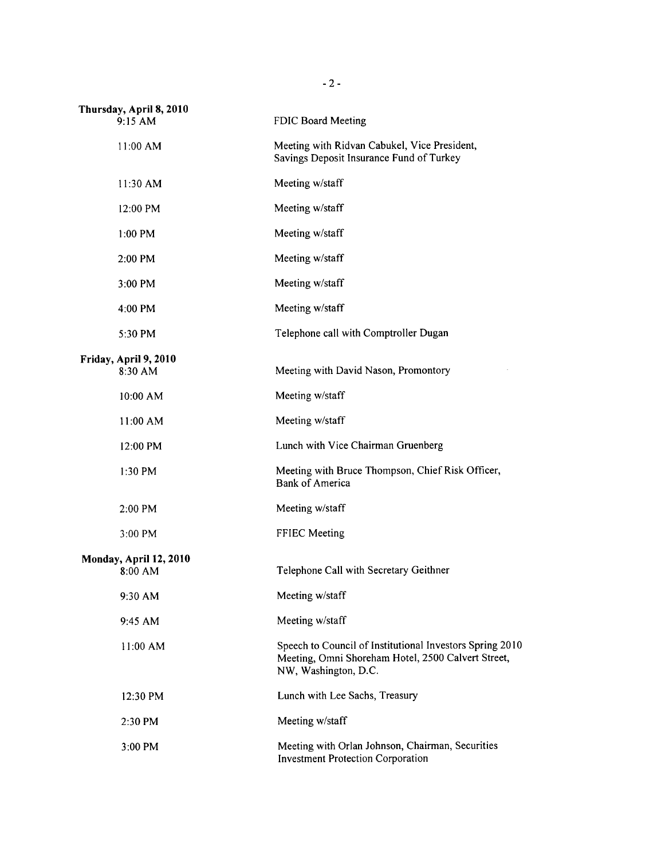| Thursday, April 8, 2010<br>9:15 AM | FDIC Board Meeting                                                                                                                     |
|------------------------------------|----------------------------------------------------------------------------------------------------------------------------------------|
| $11:00$ AM                         | Meeting with Ridvan Cabukel, Vice President,<br>Savings Deposit Insurance Fund of Turkey                                               |
| 11:30 AM                           | Meeting w/staff                                                                                                                        |
| 12:00 PM                           | Meeting w/staff                                                                                                                        |
| $1:00$ PM                          | Meeting w/staff                                                                                                                        |
| 2:00 PM                            | Meeting w/staff                                                                                                                        |
| 3:00 PM                            | Meeting w/staff                                                                                                                        |
| 4:00 PM                            | Meeting w/staff                                                                                                                        |
| 5:30 PM                            | Telephone call with Comptroller Dugan                                                                                                  |
| Friday, April 9, 2010<br>8:30 AM   | Meeting with David Nason, Promontory                                                                                                   |
| 10:00 AM                           | Meeting w/staff                                                                                                                        |
| 11:00 AM                           | Meeting w/staff                                                                                                                        |
| 12:00 PM                           | Lunch with Vice Chairman Gruenberg                                                                                                     |
| $1:30$ PM                          | Meeting with Bruce Thompson, Chief Risk Officer,<br><b>Bank of America</b>                                                             |
| $2:00$ PM                          | Meeting w/staff                                                                                                                        |
| 3:00 PM                            | FFIEC Meeting                                                                                                                          |
| Monday, April 12, 2010<br>8:00 AM  | Telephone Call with Secretary Geithner                                                                                                 |
| 9:30 AM                            | Meeting w/staff                                                                                                                        |
| 9:45 AM                            | Meeting w/staff                                                                                                                        |
| 11:00 AM                           | Speech to Council of Institutional Investors Spring 2010<br>Meeting, Omni Shoreham Hotel, 2500 Calvert Street,<br>NW, Washington, D.C. |
| 12:30 PM                           | Lunch with Lee Sachs, Treasury                                                                                                         |
| 2:30 PM                            | Meeting w/staff                                                                                                                        |
| 3:00 PM                            | Meeting with Orlan Johnson, Chairman, Securities<br><b>Investment Protection Corporation</b>                                           |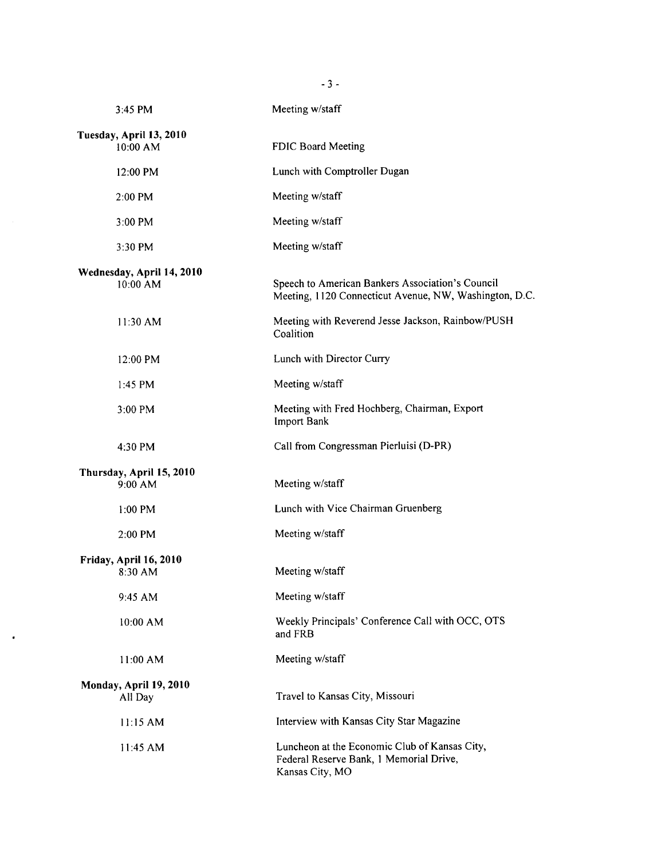| 3:45 PM                               | Meeting w/staff                                                                                             |
|---------------------------------------|-------------------------------------------------------------------------------------------------------------|
| Tuesday, April 13, 2010<br>$10:00$ AM | FDIC Board Meeting                                                                                          |
| 12:00 PM                              | Lunch with Comptroller Dugan                                                                                |
| 2:00 PM                               | Meeting w/staff                                                                                             |
| $3:00$ PM                             | Meeting w/staff                                                                                             |
| 3:30 PM                               | Meeting w/staff                                                                                             |
| Wednesday, April 14, 2010<br>10:00 AM | Speech to American Bankers Association's Council<br>Meeting, 1120 Connecticut Avenue, NW, Washington, D.C.  |
| 11:30 AM                              | Meeting with Reverend Jesse Jackson, Rainbow/PUSH<br>Coalition                                              |
| 12:00 PM                              | Lunch with Director Curry                                                                                   |
| $1:45$ PM                             | Meeting w/staff                                                                                             |
| 3:00 PM                               | Meeting with Fred Hochberg, Chairman, Export<br><b>Import Bank</b>                                          |
| 4:30 PM                               | Call from Congressman Pierluisi (D-PR)                                                                      |
| Thursday, April 15, 2010<br>$9:00$ AM | Meeting w/staff                                                                                             |
| $1:00$ PM                             | Lunch with Vice Chairman Gruenberg                                                                          |
| 2:00 PM                               | Meeting w/staff                                                                                             |
| Friday, April 16, 2010<br>8:30 AM     | Meeting w/staff                                                                                             |
| 9:45 AM                               | Meeting w/staff                                                                                             |
| 10:00 AM                              | Weekly Principals' Conference Call with OCC, OTS<br>and FRB                                                 |
| 11:00 AM                              | Meeting w/staff                                                                                             |
| Monday, April 19, 2010<br>All Day     | Travel to Kansas City, Missouri                                                                             |
| 11:15 AM                              | Interview with Kansas City Star Magazine                                                                    |
| 11:45 AM                              | Luncheon at the Economic Club of Kansas City,<br>Federal Reserve Bank, 1 Memorial Drive,<br>Kansas City, MO |

 $\epsilon$ 

- 3 -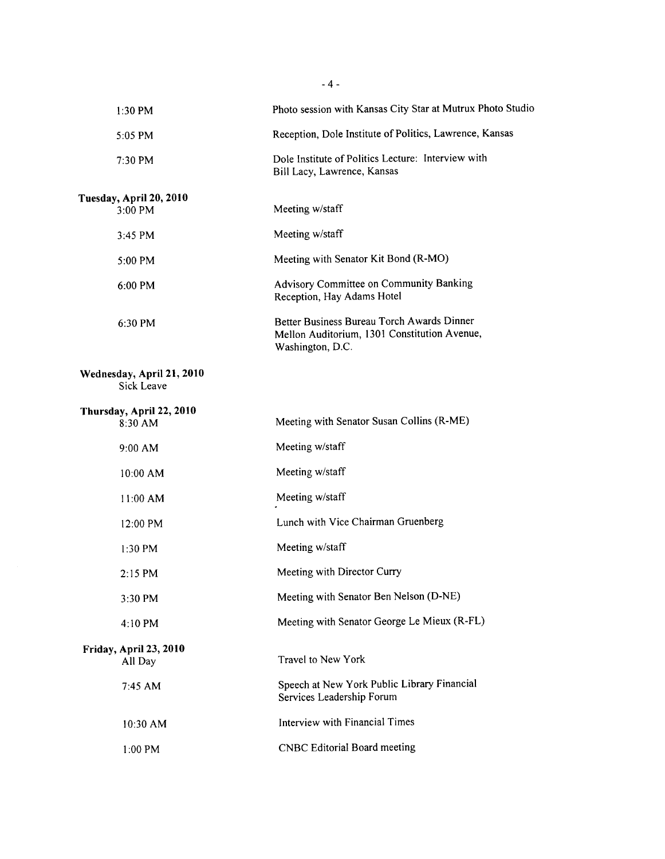| $1:30$ PM                               | Photo session with Kansas City Star at Mutrux Photo Studio                                                     |
|-----------------------------------------|----------------------------------------------------------------------------------------------------------------|
| 5:05 PM                                 | Reception, Dole Institute of Politics, Lawrence, Kansas                                                        |
| $7:30$ PM                               | Dole Institute of Politics Lecture: Interview with<br>Bill Lacy, Lawrence, Kansas                              |
| Tuesday, April 20, 2010                 |                                                                                                                |
| 3:00 PM                                 | Meeting w/staff                                                                                                |
| 3:45 PM                                 | Meeting w/staff                                                                                                |
| 5:00 PM                                 | Meeting with Senator Kit Bond (R-MO)                                                                           |
| 6:00 PM                                 | Advisory Committee on Community Banking<br>Reception, Hay Adams Hotel                                          |
| 6:30 PM                                 | Better Business Bureau Torch Awards Dinner<br>Mellon Auditorium, 1301 Constitution Avenue,<br>Washington, D.C. |
| Wednesday, April 21, 2010<br>Sick Leave |                                                                                                                |
| Thursday, April 22, 2010<br>8:30 AM     | Meeting with Senator Susan Collins (R-ME)                                                                      |
| 9:00 AM                                 | Meeting w/staff                                                                                                |
| 10:00 AM                                | Meeting w/staff                                                                                                |
| 11:00 AM                                | Meeting w/staff                                                                                                |
| 12:00 PM                                | Lunch with Vice Chairman Gruenberg                                                                             |
| $1:30 \text{ PM}$                       | Meeting w/staff                                                                                                |
| 2:15 PM                                 | Meeting with Director Curry                                                                                    |
| 3:30 PM                                 | Meeting with Senator Ben Nelson (D-NE)                                                                         |
| 4:10 PM                                 | Meeting with Senator George Le Mieux (R-FL)                                                                    |
| Friday, April 23, 2010<br>All Day       | Travel to New York                                                                                             |
| 7:45 AM                                 | Speech at New York Public Library Financial<br>Services Leadership Forum                                       |
| 10:30 AM                                | Interview with Financial Times                                                                                 |
| 1:00 PM                                 | <b>CNBC Editorial Board meeting</b>                                                                            |
|                                         |                                                                                                                |

 $-4-$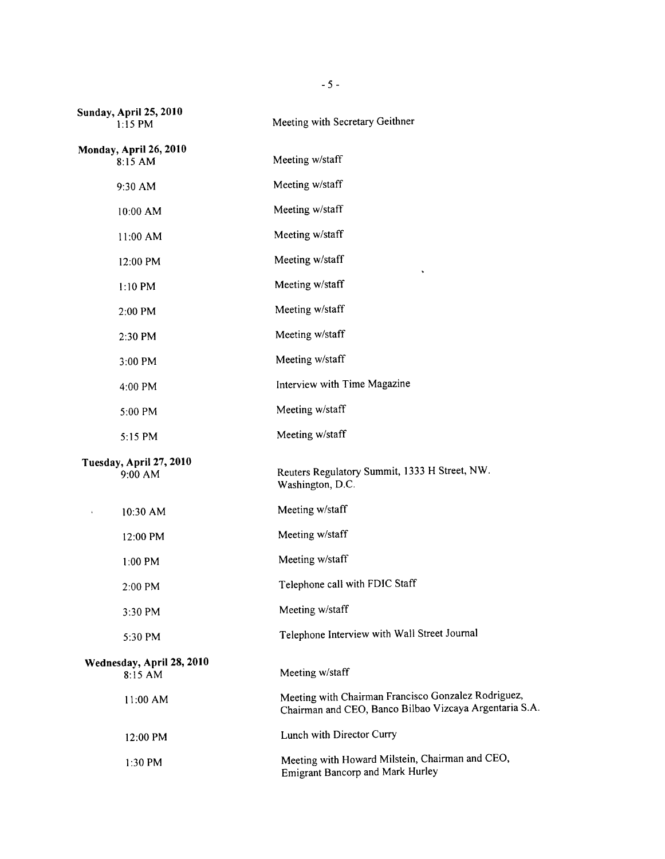| <b>Sunday, April 25, 2010</b><br>$1:15$ PM | Meeting with Secretary Geithner                                                                               |
|--------------------------------------------|---------------------------------------------------------------------------------------------------------------|
| Monday, April 26, 2010<br>8:15 AM          | Meeting w/staff                                                                                               |
| 9:30 AM                                    | Meeting w/staff                                                                                               |
| 10:00 AM                                   | Meeting w/staff                                                                                               |
| 11:00 AM                                   | Meeting w/staff                                                                                               |
| 12:00 PM                                   | Meeting w/staff                                                                                               |
| $1:10$ PM                                  | Meeting w/staff                                                                                               |
| 2:00 PM                                    | Meeting w/staff                                                                                               |
| 2:30 PM                                    | Meeting w/staff                                                                                               |
| 3:00 PM                                    | Meeting w/staff                                                                                               |
| 4:00 PM                                    | Interview with Time Magazine                                                                                  |
| 5:00 PM                                    | Meeting w/staff                                                                                               |
| 5:15 PM                                    | Meeting w/staff                                                                                               |
| Tuesday, April 27, 2010<br>9:00 AM         | Reuters Regulatory Summit, 1333 H Street, NW.<br>Washington, D.C.                                             |
| 10:30 AM                                   | Meeting w/staff                                                                                               |
| 12:00 PM                                   | Meeting w/staff                                                                                               |
| 1:00 PM                                    | Meeting w/staff                                                                                               |
| 2:00 PM                                    | Telephone call with FDIC Staff                                                                                |
| 3:30 PM                                    | Meeting w/staff                                                                                               |
| 5:30 PM                                    | Telephone Interview with Wall Street Journal                                                                  |
| Wednesday, April 28, 2010<br>$8:15$ AM     | Meeting w/staff                                                                                               |
| 11:00 AM                                   | Meeting with Chairman Francisco Gonzalez Rodriguez,<br>Chairman and CEO, Banco Bilbao Vizcaya Argentaria S.A. |
| 12:00 PM                                   | Lunch with Director Curry                                                                                     |
| 1:30 PM                                    | Meeting with Howard Milstein, Chairman and CEO,<br><b>Emigrant Bancorp and Mark Hurley</b>                    |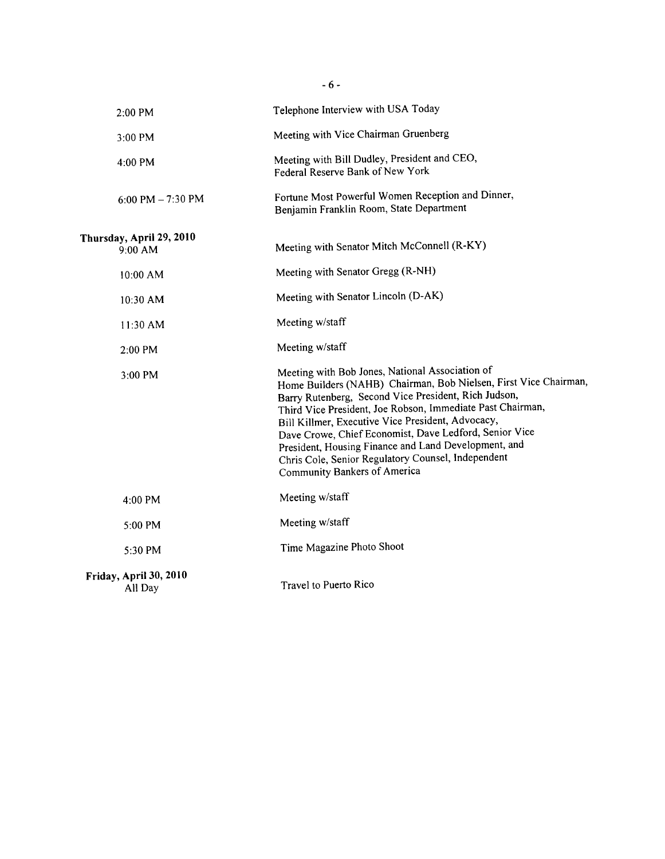| 2:00 PM                             | Telephone Interview with USA Today                                                                                                                                                                                                                                                                                                                                                                                                                                                                     |
|-------------------------------------|--------------------------------------------------------------------------------------------------------------------------------------------------------------------------------------------------------------------------------------------------------------------------------------------------------------------------------------------------------------------------------------------------------------------------------------------------------------------------------------------------------|
| $3:00$ PM                           | Meeting with Vice Chairman Gruenberg                                                                                                                                                                                                                                                                                                                                                                                                                                                                   |
| 4:00 PM                             | Meeting with Bill Dudley, President and CEO,<br>Federal Reserve Bank of New York                                                                                                                                                                                                                                                                                                                                                                                                                       |
| 6:00 PM $-7:30$ PM                  | Fortune Most Powerful Women Reception and Dinner,<br>Benjamin Franklin Room, State Department                                                                                                                                                                                                                                                                                                                                                                                                          |
| Thursday, April 29, 2010<br>9:00 AM | Meeting with Senator Mitch McConnell (R-KY)                                                                                                                                                                                                                                                                                                                                                                                                                                                            |
| 10:00 AM                            | Meeting with Senator Gregg (R-NH)                                                                                                                                                                                                                                                                                                                                                                                                                                                                      |
| 10:30 AM                            | Meeting with Senator Lincoln (D-AK)                                                                                                                                                                                                                                                                                                                                                                                                                                                                    |
| $11:30$ AM                          | Meeting w/staff                                                                                                                                                                                                                                                                                                                                                                                                                                                                                        |
| 2:00 PM                             | Meeting w/staff                                                                                                                                                                                                                                                                                                                                                                                                                                                                                        |
| 3:00 PM                             | Meeting with Bob Jones, National Association of<br>Home Builders (NAHB) Chairman, Bob Nielsen, First Vice Chairman,<br>Barry Rutenberg, Second Vice President, Rich Judson,<br>Third Vice President, Joe Robson, Immediate Past Chairman,<br>Bill Killmer, Executive Vice President, Advocacy,<br>Dave Crowe, Chief Economist, Dave Ledford, Senior Vice<br>President, Housing Finance and Land Development, and<br>Chris Cole, Senior Regulatory Counsel, Independent<br>Community Bankers of America |
| 4:00 PM                             | Meeting w/staff                                                                                                                                                                                                                                                                                                                                                                                                                                                                                        |
| 5:00 PM                             | Meeting w/staff                                                                                                                                                                                                                                                                                                                                                                                                                                                                                        |
| 5:30 PM                             | Time Magazine Photo Shoot                                                                                                                                                                                                                                                                                                                                                                                                                                                                              |
| Friday, April 30, 2010<br>All Day   | Travel to Puerto Rico                                                                                                                                                                                                                                                                                                                                                                                                                                                                                  |

- 6 -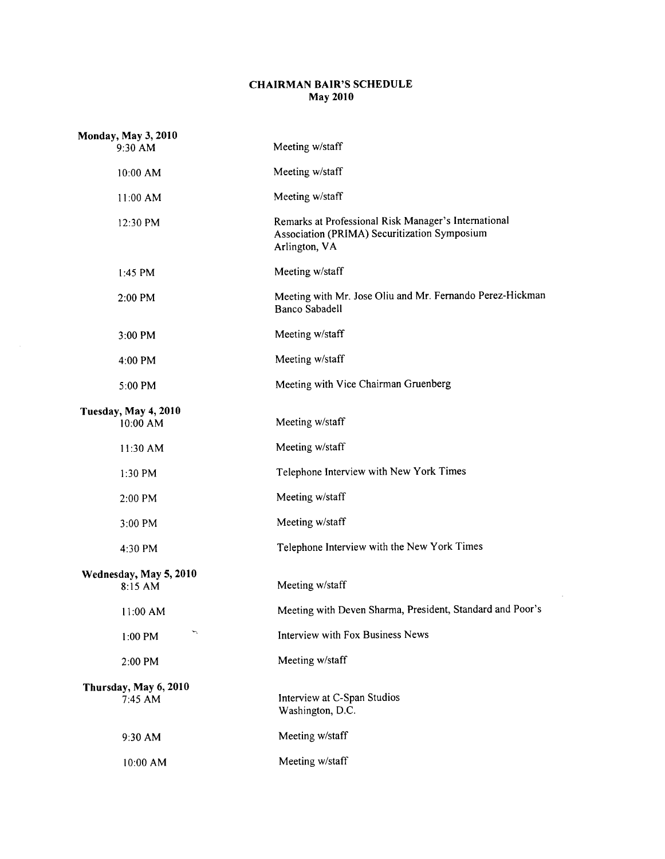## CHAIRMAN BAIR'S SCHEDULE May 2010

| <b>Monday, May 3, 2010</b><br>9:30 AM | Meeting w/staff                                                                                                       |
|---------------------------------------|-----------------------------------------------------------------------------------------------------------------------|
| 10:00 AM                              | Meeting w/staff                                                                                                       |
| $11:00$ AM                            | Meeting w/staff                                                                                                       |
| 12:30 PM                              | Remarks at Professional Risk Manager's International<br>Association (PRIMA) Securitization Symposium<br>Arlington, VA |
| 1:45 PM                               | Meeting w/staff                                                                                                       |
| 2:00 PM                               | Meeting with Mr. Jose Oliu and Mr. Fernando Perez-Hickman<br><b>Banco Sabadell</b>                                    |
| 3:00 PM                               | Meeting w/staff                                                                                                       |
| 4:00 PM                               | Meeting w/staff                                                                                                       |
| 5:00 PM                               | Meeting with Vice Chairman Gruenberg                                                                                  |
| Tuesday, May 4, 2010<br>10:00 AM      | Meeting w/staff                                                                                                       |
| 11:30 AM                              | Meeting w/staff                                                                                                       |
| 1:30 PM                               | Telephone Interview with New York Times                                                                               |
| 2:00 PM                               | Meeting w/staff                                                                                                       |
| 3:00 PM                               | Meeting w/staff                                                                                                       |
| 4:30 PM                               | Telephone Interview with the New York Times                                                                           |
| Wednesday, May 5, 2010<br>$8:15$ AM   | Meeting w/staff                                                                                                       |
| $11:00$ AM                            | Meeting with Deven Sharma, President, Standard and Poor's                                                             |
| ∽<br>1:00 PM                          | <b>Interview with Fox Business News</b>                                                                               |
| 2:00 PM                               | Meeting w/staff                                                                                                       |
| Thursday, May 6, 2010<br>7:45 AM      | Interview at C-Span Studios<br>Washington, D.C.                                                                       |
| 9:30 AM                               | Meeting w/staff                                                                                                       |
| 10:00 AM                              | Meeting w/staff                                                                                                       |

 $\sim 10$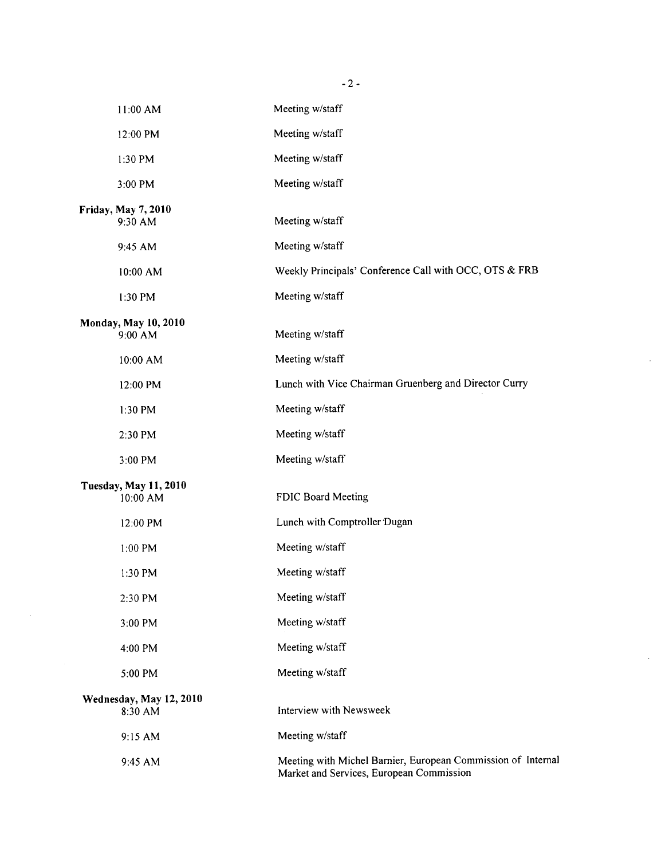| 11:00 AM                                 | Meeting w/staff                                                                                          |
|------------------------------------------|----------------------------------------------------------------------------------------------------------|
| 12:00 PM                                 | Meeting w/staff                                                                                          |
| 1:30 PM                                  | Meeting w/staff                                                                                          |
| 3:00 PM                                  | Meeting w/staff                                                                                          |
| Friday, May 7, 2010<br>9:30 AM           | Meeting w/staff                                                                                          |
| 9:45 AM                                  | Meeting w/staff                                                                                          |
| 10:00 AM                                 | Weekly Principals' Conference Call with OCC, OTS & FRB                                                   |
| 1:30 PM                                  | Meeting w/staff                                                                                          |
| Monday, May 10, 2010<br>9:00 AM          | Meeting w/staff                                                                                          |
| 10:00 AM                                 | Meeting w/staff                                                                                          |
| 12:00 PM                                 | Lunch with Vice Chairman Gruenberg and Director Curry                                                    |
| 1:30 PM                                  | Meeting w/staff                                                                                          |
| 2:30 PM                                  | Meeting w/staff                                                                                          |
| 3:00 PM                                  | Meeting w/staff                                                                                          |
| <b>Tuesday, May 11, 2010</b><br>10:00 AM | FDIC Board Meeting                                                                                       |
| 12:00 PM                                 | Lunch with Comptroller Dugan                                                                             |
| 1:00 PM                                  | Meeting w/staff                                                                                          |
| 1:30 PM                                  | Meeting w/staff                                                                                          |
| 2:30 PM                                  | Meeting w/staff                                                                                          |
| 3:00 PM                                  | Meeting w/staff                                                                                          |
| 4:00 PM                                  | Meeting w/staff                                                                                          |
| 5:00 PM                                  | Meeting w/staff                                                                                          |
| Wednesday, May 12, 2010<br>8:30 AM       | Interview with Newsweek                                                                                  |
| 9:15 AM                                  | Meeting w/staff                                                                                          |
| 9:45 AM                                  | Meeting with Michel Barnier, European Commission of Internal<br>Market and Services, European Commission |

 $\bar{\mathcal{A}}$ 

 $\ddot{\phantom{a}}$ 

 $\ddot{\phantom{0}}$ 

 $-2-$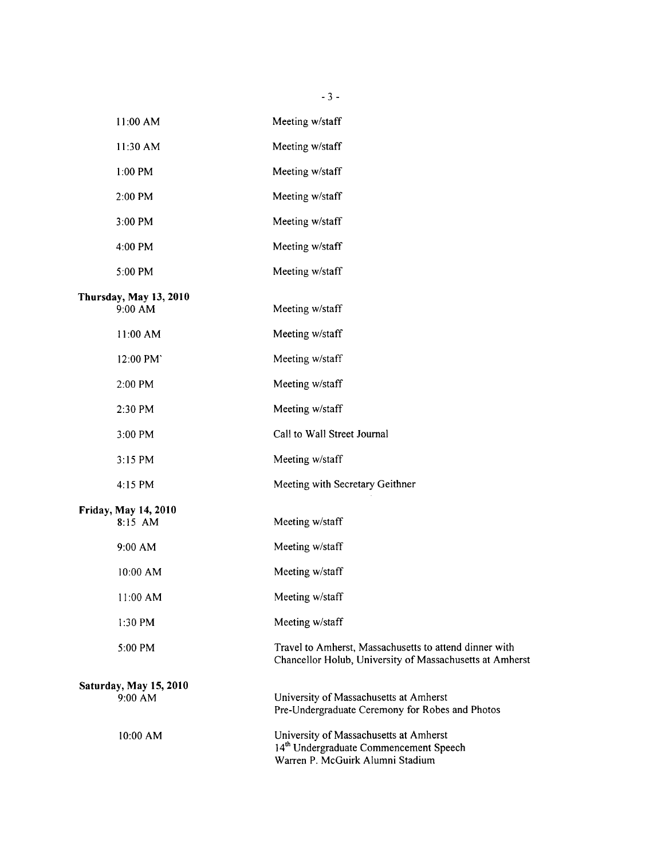| 11:00 AM                          | Meeting w/staff                                                                                                                  |
|-----------------------------------|----------------------------------------------------------------------------------------------------------------------------------|
| 11:30 AM                          | Meeting w/staff                                                                                                                  |
| 1:00 PM                           | Meeting w/staff                                                                                                                  |
| 2:00 PM                           | Meeting w/staff                                                                                                                  |
| 3:00 PM                           | Meeting w/staff                                                                                                                  |
| 4:00 PM                           | Meeting w/staff                                                                                                                  |
| 5:00 PM                           | Meeting w/staff                                                                                                                  |
| Thursday, May 13, 2010<br>9:00 AM | Meeting w/staff                                                                                                                  |
| 11:00 AM                          | Meeting w/staff                                                                                                                  |
| 12:00 PM                          | Meeting w/staff                                                                                                                  |
| 2:00 PM                           | Meeting w/staff                                                                                                                  |
| 2:30 PM                           | Meeting w/staff                                                                                                                  |
| 3:00 PM                           | Call to Wall Street Journal                                                                                                      |
| 3:15 PM                           | Meeting w/staff                                                                                                                  |
| 4:15 PM                           | Meeting with Secretary Geithner                                                                                                  |
| Friday, May 14, 2010<br>8:15 AM   | Meeting w/staff                                                                                                                  |
| 9:00 AM                           | Meeting w/staff                                                                                                                  |
| 10:00 AM                          | Meeting w/staff                                                                                                                  |
| $11:00$ AM                        | Meeting w/staff                                                                                                                  |
| 1:30 PM                           | Meeting w/staff                                                                                                                  |
| 5:00 PM                           | Travel to Amherst, Massachusetts to attend dinner with<br>Chancellor Holub, University of Massachusetts at Amherst               |
| Saturday, May 15, 2010<br>9:00 AM | University of Massachusetts at Amherst<br>Pre-Undergraduate Ceremony for Robes and Photos                                        |
| 10:00 AM                          | University of Massachusetts at Amherst<br>14 <sup>th</sup> Undergraduate Commencement Speech<br>Warren P. McGuirk Alumni Stadium |

- 3 -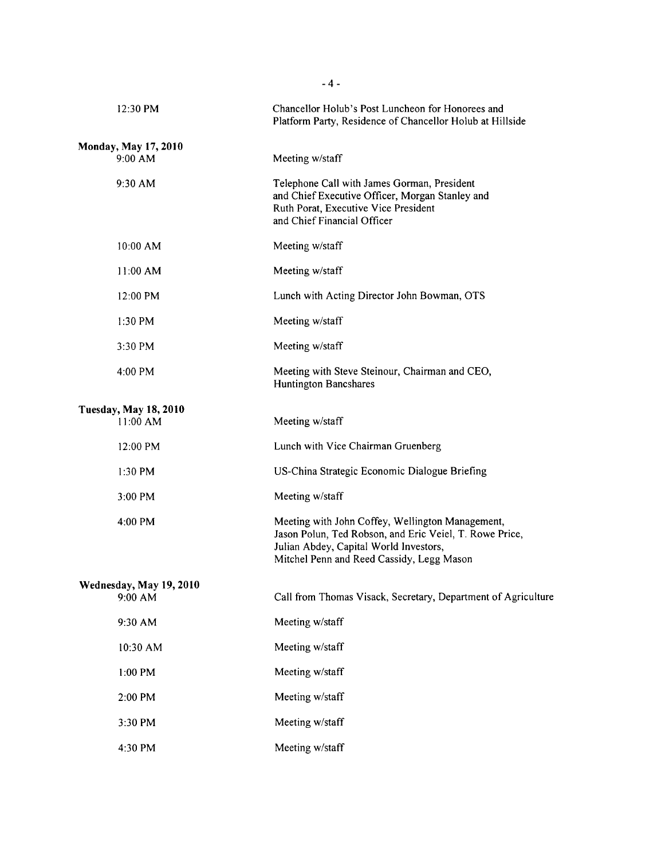| 12:30 PM                                   | Chancellor Holub's Post Luncheon for Honorees and<br>Platform Party, Residence of Chancellor Holub at Hillside                                                                                     |
|--------------------------------------------|----------------------------------------------------------------------------------------------------------------------------------------------------------------------------------------------------|
| Monday, May 17, 2010<br>9:00 AM            | Meeting w/staff                                                                                                                                                                                    |
| 9:30 AM                                    | Telephone Call with James Gorman, President<br>and Chief Executive Officer, Morgan Stanley and<br>Ruth Porat, Executive Vice President<br>and Chief Financial Officer                              |
| $10:00$ AM                                 | Meeting w/staff                                                                                                                                                                                    |
| 11:00 AM                                   | Meeting w/staff                                                                                                                                                                                    |
| 12:00 PM                                   | Lunch with Acting Director John Bowman, OTS                                                                                                                                                        |
| $1:30$ PM                                  | Meeting w/staff                                                                                                                                                                                    |
| $3:30$ PM                                  | Meeting w/staff                                                                                                                                                                                    |
| $4:00$ PM                                  | Meeting with Steve Steinour, Chairman and CEO,<br><b>Huntington Bancshares</b>                                                                                                                     |
| <b>Tuesday, May 18, 2010</b><br>$11:00$ AM | Meeting w/staff                                                                                                                                                                                    |
| 12:00 PM                                   | Lunch with Vice Chairman Gruenberg                                                                                                                                                                 |
| $1:30$ PM                                  | US-China Strategic Economic Dialogue Briefing                                                                                                                                                      |
| $3:00$ PM                                  | Meeting w/staff                                                                                                                                                                                    |
| 4:00 PM                                    | Meeting with John Coffey, Wellington Management,<br>Jason Polun, Ted Robson, and Eric Veiel, T. Rowe Price,<br>Julian Abdey, Capital World Investors,<br>Mitchel Penn and Reed Cassidy, Legg Mason |
| Wednesday, May 19, 2010<br>9:00 AM         | Call from Thomas Visack, Secretary, Department of Agriculture                                                                                                                                      |
| 9:30 AM                                    | Meeting w/staff                                                                                                                                                                                    |
| 10:30 AM                                   | Meeting w/staff                                                                                                                                                                                    |
| 1:00 PM                                    | Meeting w/staff                                                                                                                                                                                    |
| 2:00 PM                                    | Meeting w/staff                                                                                                                                                                                    |
| 3:30 PM                                    | Meeting w/staff                                                                                                                                                                                    |
| 4:30 PM                                    | Meeting w/staff                                                                                                                                                                                    |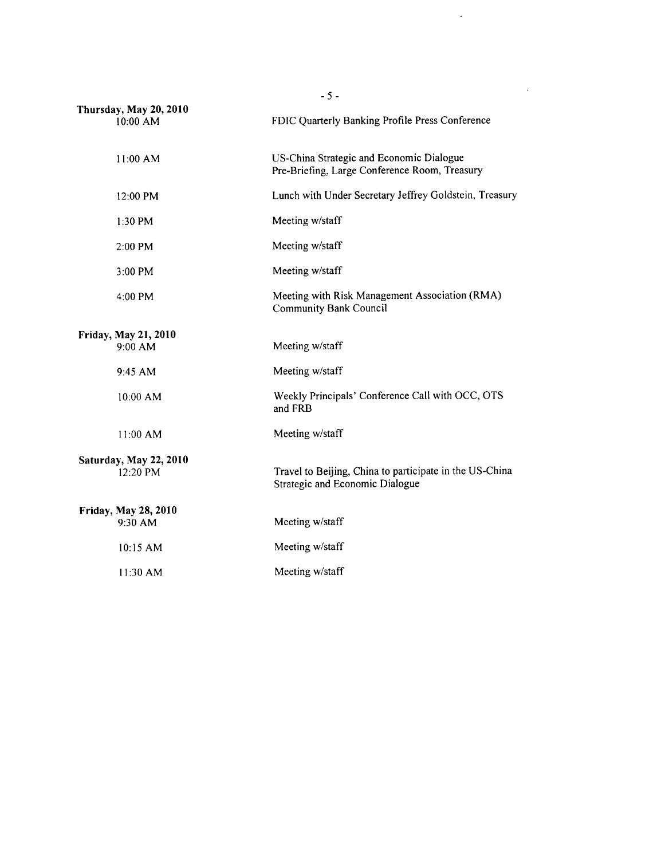| $-5-$                                |                                                                                                   |  |  |
|--------------------------------------|---------------------------------------------------------------------------------------------------|--|--|
| Thursday, May 20, 2010<br>10:00 AM   | FDIC Quarterly Banking Profile Press Conference                                                   |  |  |
| 11:00 AM                             | US-China Strategic and Economic Dialogue<br>Pre-Briefing, Large Conference Room, Treasury         |  |  |
| $12:00$ PM                           | Lunch with Under Secretary Jeffrey Goldstein, Treasury                                            |  |  |
| 1:30 PM                              | Meeting w/staff                                                                                   |  |  |
| 2:00 PM                              | Meeting w/staff                                                                                   |  |  |
| $3:00$ PM                            | Meeting w/staff                                                                                   |  |  |
| 4:00 PM                              | Meeting with Risk Management Association (RMA)<br><b>Community Bank Council</b>                   |  |  |
| Friday, May 21, 2010<br>9:00 AM      | Meeting w/staff                                                                                   |  |  |
| 9:45 AM                              | Meeting w/staff                                                                                   |  |  |
| 10:00 AM                             | Weekly Principals' Conference Call with OCC, OTS<br>and FRB                                       |  |  |
| 11:00 AM                             | Meeting w/staff                                                                                   |  |  |
| Saturday, May 22, 2010<br>$12:20$ PM | Travel to Beijing, China to participate in the US-China<br><b>Strategic and Economic Dialogue</b> |  |  |
| Friday, May 28, 2010<br>9:30 AM      | Meeting w/staff                                                                                   |  |  |
| 10:15 AM                             | Meeting w/staff                                                                                   |  |  |
| $11:30$ AM                           | Meeting w/staff                                                                                   |  |  |

 $\mathcal{L}^{\text{max}}_{\text{max}}$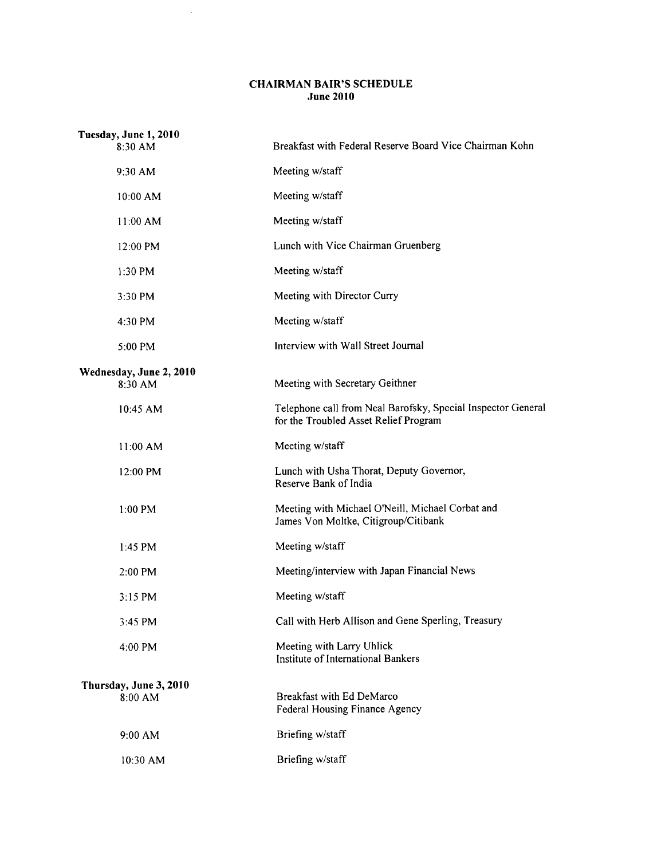## CHAIRMAN BAIR'S SCHEDULE June 2010

 $\sim 10^7$ 

| Tuesday, June 1, 2010<br>8:30 AM   | Breakfast with Federal Reserve Board Vice Chairman Kohn                                               |
|------------------------------------|-------------------------------------------------------------------------------------------------------|
| 9:30 AM                            | Meeting w/staff                                                                                       |
| $10:00$ AM                         | Meeting w/staff                                                                                       |
| 11:00 AM                           | Meeting w/staff                                                                                       |
| 12:00 PM                           | Lunch with Vice Chairman Gruenberg                                                                    |
| 1:30 PM                            | Meeting w/staff                                                                                       |
| 3:30 PM                            | Meeting with Director Curry                                                                           |
| 4:30 PM                            | Meeting w/staff                                                                                       |
| 5:00 PM                            | Interview with Wall Street Journal                                                                    |
| Wednesday, June 2, 2010<br>8:30 AM | Meeting with Secretary Geithner                                                                       |
| 10:45 AM                           | Telephone call from Neal Barofsky, Special Inspector General<br>for the Troubled Asset Relief Program |
| 11:00 AM                           | Meeting w/staff                                                                                       |
| 12:00 PM                           | Lunch with Usha Thorat, Deputy Governor,<br>Reserve Bank of India                                     |
| $1:00$ PM                          | Meeting with Michael O'Neill, Michael Corbat and<br>James Von Moltke, Citigroup/Citibank              |
| 1:45 PM                            | Meeting w/staff                                                                                       |
| 2:00 PM                            | Meeting/interview with Japan Financial News                                                           |
| 3:15 PM                            | Meeting w/staff                                                                                       |
| 3:45 PM                            | Call with Herb Allison and Gene Sperling, Treasury                                                    |
| 4:00 PM                            | Meeting with Larry Uhlick<br>Institute of International Bankers                                       |
| Thursday, June 3, 2010             |                                                                                                       |
| 8:00 AM                            | Breakfast with Ed DeMarco<br>Federal Housing Finance Agency                                           |
| 9:00 AM                            | Briefing w/staff                                                                                      |
| 10:30 AM                           | Briefing w/staff                                                                                      |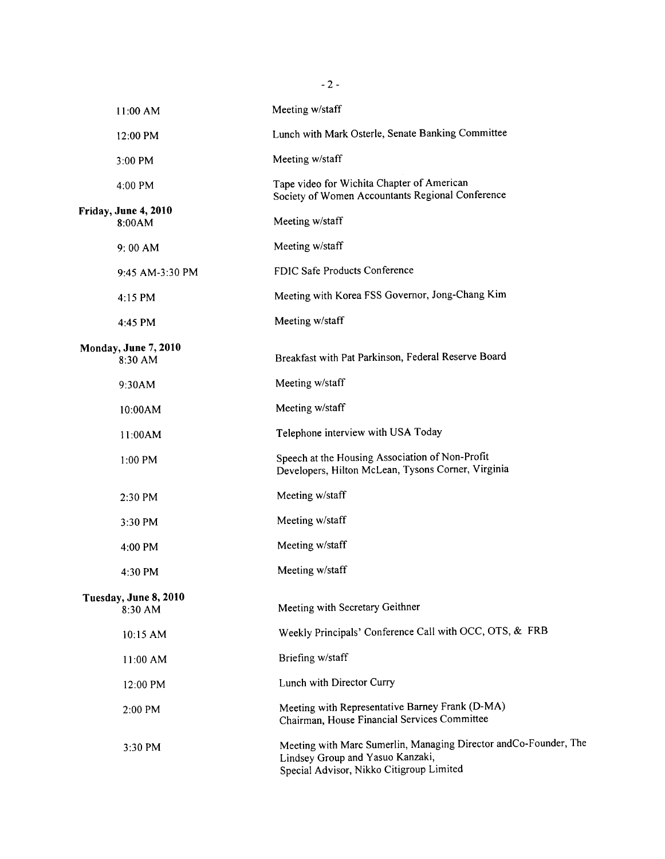| 11:00 AM                         | Meeting w/staff                                                                                                                                  |
|----------------------------------|--------------------------------------------------------------------------------------------------------------------------------------------------|
| 12:00 PM                         | Lunch with Mark Osterle, Senate Banking Committee                                                                                                |
| 3:00 PM                          | Meeting w/staff                                                                                                                                  |
| 4:00 PM                          | Tape video for Wichita Chapter of American<br>Society of Women Accountants Regional Conference                                                   |
| Friday, June 4, 2010<br>8:00AM   | Meeting w/staff                                                                                                                                  |
| $9:00$ AM                        | Meeting w/staff                                                                                                                                  |
| 9:45 AM-3:30 PM                  | FDIC Safe Products Conference                                                                                                                    |
| 4:15 PM                          | Meeting with Korea FSS Governor, Jong-Chang Kim                                                                                                  |
| 4:45 PM                          | Meeting w/staff                                                                                                                                  |
| Monday, June 7, 2010<br>8:30 AM  | Breakfast with Pat Parkinson, Federal Reserve Board                                                                                              |
| 9:30AM                           | Meeting w/staff                                                                                                                                  |
| 10:00AM                          | Meeting w/staff                                                                                                                                  |
| 11:00AM                          | Telephone interview with USA Today                                                                                                               |
| 1:00 PM                          | Speech at the Housing Association of Non-Profit<br>Developers, Hilton McLean, Tysons Corner, Virginia                                            |
| 2:30 PM                          | Meeting w/staff                                                                                                                                  |
| $3:30$ PM                        | Meeting w/staff                                                                                                                                  |
| 4:00 PM                          | Meeting w/staff                                                                                                                                  |
| 4:30 PM                          | Meeting w/staff                                                                                                                                  |
| Tuesday, June 8, 2010<br>8:30 AM | Meeting with Secretary Geithner                                                                                                                  |
| 10:15 AM                         | Weekly Principals' Conference Call with OCC, OTS, & FRB                                                                                          |
| 11:00 AM                         | Briefing w/staff                                                                                                                                 |
| 12:00 PM                         | Lunch with Director Curry                                                                                                                        |
| 2:00 PM                          | Meeting with Representative Barney Frank (D-MA)<br>Chairman, House Financial Services Committee                                                  |
| 3:30 PM                          | Meeting with Marc Sumerlin, Managing Director andCo-Founder, The<br>Lindsey Group and Yasuo Kanzaki,<br>Special Advisor, Nikko Citigroup Limited |

 $- 2 -$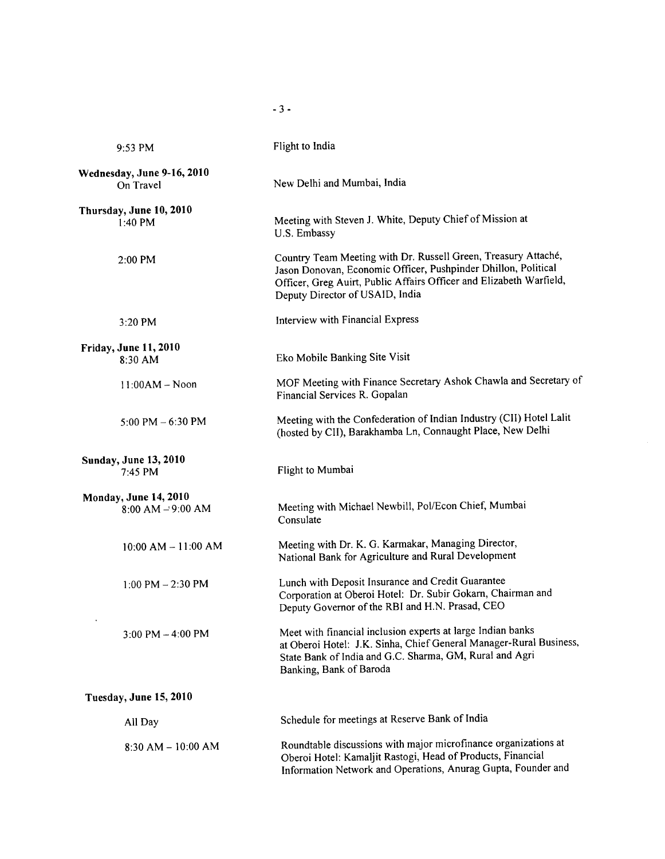| 9:53 PM                                              | Flight to India                                                                                                                                                                                                                            |
|------------------------------------------------------|--------------------------------------------------------------------------------------------------------------------------------------------------------------------------------------------------------------------------------------------|
| Wednesday, June 9-16, 2010<br>On Travel              | New Delhi and Mumbai, India                                                                                                                                                                                                                |
| Thursday, June 10, 2010<br>$1:40$ PM                 | Meeting with Steven J. White, Deputy Chief of Mission at<br>U.S. Embassy                                                                                                                                                                   |
| 2:00 PM                                              | Country Team Meeting with Dr. Russell Green, Treasury Attaché,<br>Jason Donovan, Economic Officer, Pushpinder Dhillon, Political<br>Officer, Greg Auirt, Public Affairs Officer and Elizabeth Warfield,<br>Deputy Director of USAID, India |
| 3:20 PM                                              | Interview with Financial Express                                                                                                                                                                                                           |
| <b>Friday, June 11, 2010</b><br>8:30 AM              | Eko Mobile Banking Site Visit                                                                                                                                                                                                              |
| $11:00AM - Noon$                                     | MOF Meeting with Finance Secretary Ashok Chawla and Secretary of<br>Financial Services R. Gopalan                                                                                                                                          |
| 5:00 PM $-6:30$ PM                                   | Meeting with the Confederation of Indian Industry (CII) Hotel Lalit<br>(hosted by CII), Barakhamba Ln, Connaught Place, New Delhi                                                                                                          |
| <b>Sunday, June 13, 2010</b><br>7:45 PM              | Flight to Mumbai                                                                                                                                                                                                                           |
| <b>Monday, June 14, 2010</b><br>$8:00$ AM $-9:00$ AM | Meeting with Michael Newbill, Pol/Econ Chief, Mumbai<br>Consulate                                                                                                                                                                          |
| $10:00$ AM $- 11:00$ AM                              | Meeting with Dr. K. G. Karmakar, Managing Director,<br>National Bank for Agriculture and Rural Development                                                                                                                                 |
| $1:00$ PM $- 2:30$ PM                                | Lunch with Deposit Insurance and Credit Guarantee<br>Corporation at Oberoi Hotel: Dr. Subir Gokarn, Chairman and<br>Deputy Governor of the RBI and H.N. Prasad, CEO                                                                        |
| 3:00 PM $-$ 4:00 PM                                  | Meet with financial inclusion experts at large Indian banks<br>at Oberoi Hotel: J.K. Sinha, Chief General Manager-Rural Business,<br>State Bank of India and G.C. Sharma, GM, Rural and Agri<br>Banking, Bank of Baroda                    |
| Tuesday, June 15, 2010                               |                                                                                                                                                                                                                                            |
| All Day                                              | Schedule for meetings at Reserve Bank of India                                                                                                                                                                                             |
| $8:30$ AM $-10:00$ AM                                | Roundtable discussions with major microfinance organizations at<br>Oberoi Hotel: Kamaljit Rastogi, Head of Products, Financial<br>Information Network and Operations, Anurag Gupta, Founder and                                            |

 $-3 -$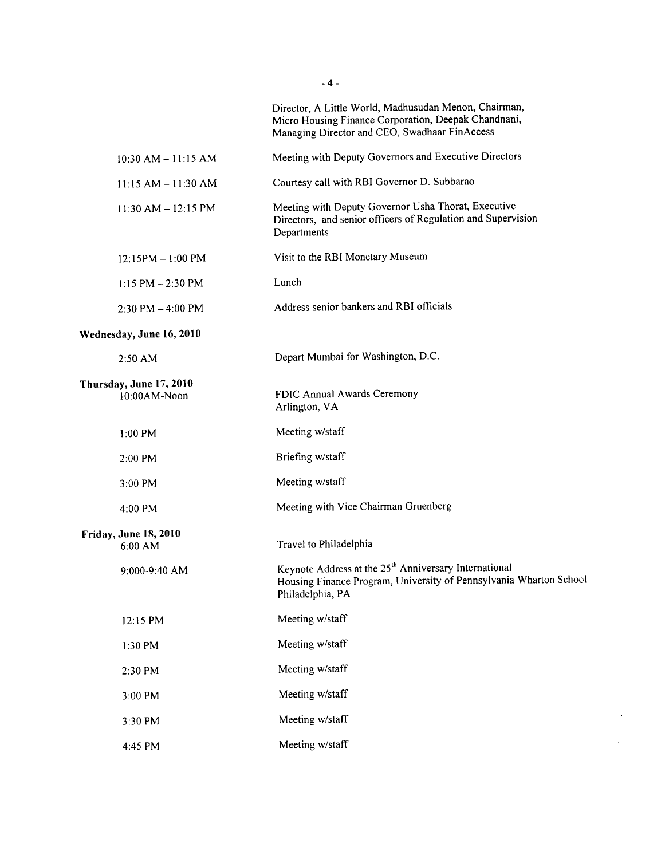|                                         | Director, A Little World, Madhusudan Menon, Chairman,<br>Micro Housing Finance Corporation, Deepak Chandnani,<br>Managing Director and CEO, Swadhaar FinAccess |
|-----------------------------------------|----------------------------------------------------------------------------------------------------------------------------------------------------------------|
| $10:30$ AM $- 11:15$ AM                 | Meeting with Deputy Governors and Executive Directors                                                                                                          |
| $11:15 AM - 11:30 AM$                   | Courtesy call with RBI Governor D. Subbarao                                                                                                                    |
| $11:30$ AM $- 12:15$ PM                 | Meeting with Deputy Governor Usha Thorat, Executive<br>Directors, and senior officers of Regulation and Supervision<br>Departments                             |
| $12:15PM - 1:00 PM$                     | Visit to the RBI Monetary Museum                                                                                                                               |
| $1:15$ PM $- 2:30$ PM                   | Lunch                                                                                                                                                          |
| $2:30$ PM $-4:00$ PM                    | Address senior bankers and RBI officials                                                                                                                       |
| Wednesday, June 16, 2010                |                                                                                                                                                                |
| 2:50 AM                                 | Depart Mumbai for Washington, D.C.                                                                                                                             |
| Thursday, June 17, 2010<br>10:00AM-Noon | FDIC Annual Awards Ceremony<br>Arlington, VA                                                                                                                   |
| $1:00$ PM                               | Meeting w/staff                                                                                                                                                |
| $2:00$ PM                               | Briefing w/staff                                                                                                                                               |
| 3:00 PM                                 | Meeting w/staff                                                                                                                                                |
| 4:00 PM                                 | Meeting with Vice Chairman Gruenberg                                                                                                                           |
| Friday, June 18, 2010<br>6:00 AM        | Travel to Philadelphia                                                                                                                                         |
| 9:000-9:40 AM                           | Keynote Address at the 25 <sup>th</sup> Anniversary International<br>Housing Finance Program, University of Pennsylvania Wharton School<br>Philadelphia, PA    |
| 12:15 PM                                | Meeting w/staff                                                                                                                                                |
| 1:30 PM                                 | Meeting w/staff                                                                                                                                                |
| 2:30 PM                                 | Meeting w/staff                                                                                                                                                |
| 3:00 PM                                 | Meeting w/staff                                                                                                                                                |
| 3:30 PM                                 | Meeting w/staff                                                                                                                                                |
| 4:45 PM                                 | Meeting w/staff                                                                                                                                                |
|                                         |                                                                                                                                                                |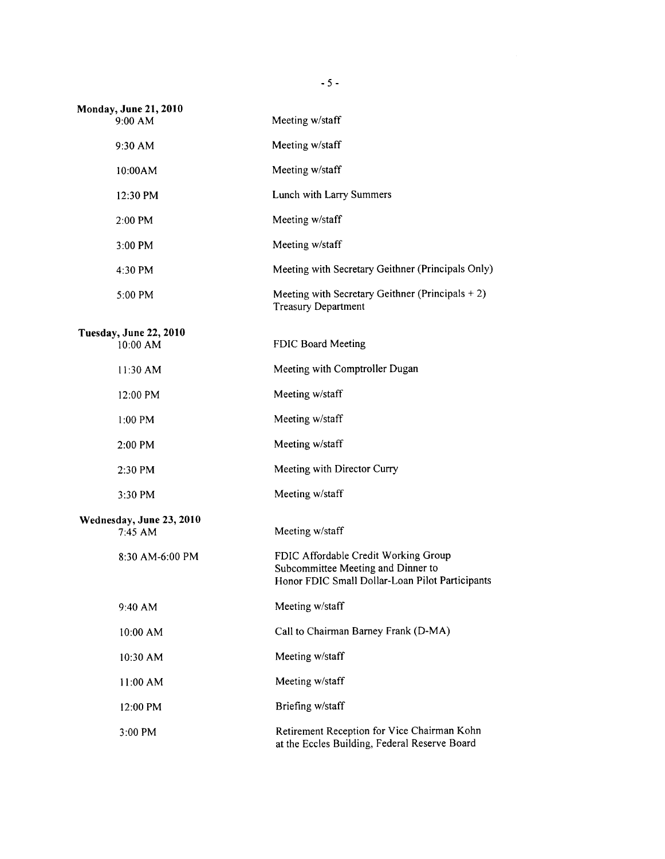| <b>Monday, June 21, 2010</b><br>9:00 AM | Meeting w/staff                                                                                                               |
|-----------------------------------------|-------------------------------------------------------------------------------------------------------------------------------|
| 9:30 AM                                 | Meeting w/staff                                                                                                               |
| 10:00AM                                 | Meeting w/staff                                                                                                               |
| 12:30 PM                                | Lunch with Larry Summers                                                                                                      |
| 2:00 PM                                 | Meeting w/staff                                                                                                               |
| 3:00 PM                                 | Meeting w/staff                                                                                                               |
| 4:30 PM                                 | Meeting with Secretary Geithner (Principals Only)                                                                             |
| 5:00 PM                                 | Meeting with Secretary Geithner (Principals $+2$ )<br><b>Treasury Department</b>                                              |
| Tuesday, June 22, 2010<br>10:00 AM      | FDIC Board Meeting                                                                                                            |
| 11:30 AM                                | Meeting with Comptroller Dugan                                                                                                |
| 12:00 PM                                | Meeting w/staff                                                                                                               |
| $1:00$ PM                               | Meeting w/staff                                                                                                               |
| 2:00 PM                                 | Meeting w/staff                                                                                                               |
| 2:30 PM                                 | Meeting with Director Curry                                                                                                   |
| 3:30 PM                                 | Meeting w/staff                                                                                                               |
| Wednesday, June 23, 2010<br>7:45 AM     | Meeting w/staff                                                                                                               |
| 8:30 AM-6:00 PM                         | FDIC Affordable Credit Working Group<br>Subcommittee Meeting and Dinner to<br>Honor FDIC Small Dollar-Loan Pilot Participants |
| $9:40$ AM                               | Meeting w/staff                                                                                                               |
| 10:00 AM                                | Call to Chairman Barney Frank (D-MA)                                                                                          |
| 10:30 AM                                | Meeting w/staff                                                                                                               |
| 11:00 AM                                | Meeting w/staff                                                                                                               |
| 12:00 PM                                | Briefing w/staff                                                                                                              |
| 3:00 PM                                 | Retirement Reception for Vice Chairman Kohn<br>at the Eccles Building, Federal Reserve Board                                  |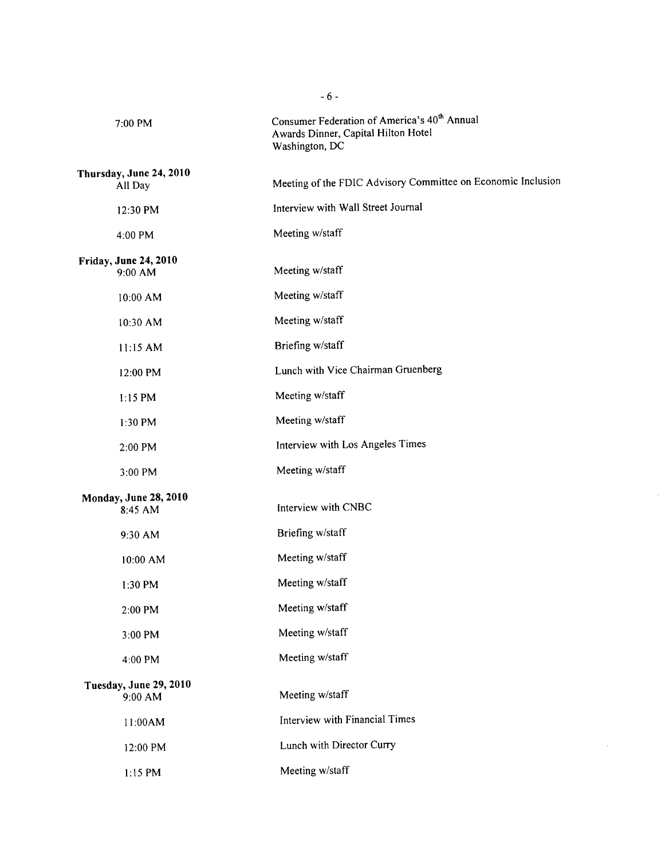| 7:00 PM                                 | Consumer Federation of America's 40 <sup>th</sup> Annual<br>Awards Dinner, Capital Hilton Hotel<br>Washington, DC |
|-----------------------------------------|-------------------------------------------------------------------------------------------------------------------|
| Thursday, June 24, 2010                 |                                                                                                                   |
| All Day                                 | Meeting of the FDIC Advisory Committee on Economic Inclusion                                                      |
| 12:30 PM                                | Interview with Wall Street Journal                                                                                |
| 4:00 PM                                 | Meeting w/staff                                                                                                   |
| <b>Friday, June 24, 2010</b><br>9:00 AM | Meeting w/staff                                                                                                   |
| 10:00 AM                                | Meeting w/staff                                                                                                   |
| 10:30 AM                                | Meeting w/staff                                                                                                   |
| 11:15 AM                                | Briefing w/staff                                                                                                  |
| 12:00 PM                                | Lunch with Vice Chairman Gruenberg                                                                                |
| $1:15$ PM                               | Meeting w/staff                                                                                                   |
| $1:30$ PM                               | Meeting w/staff                                                                                                   |
| 2:00 PM                                 | Interview with Los Angeles Times                                                                                  |
| 3:00 PM                                 | Meeting w/staff                                                                                                   |
| <b>Monday, June 28, 2010</b><br>8:45 AM | Interview with CNBC                                                                                               |
| 9:30 AM                                 | Briefing w/staff                                                                                                  |
| 10:00 AM                                | Meeting w/staff                                                                                                   |
| $1:30$ PM                               | Meeting w/staff                                                                                                   |
| 2:00 PM                                 | Meeting w/staff                                                                                                   |
| 3:00 PM                                 | Meeting w/staff                                                                                                   |
| 4:00 PM                                 | Meeting w/staff                                                                                                   |
| Tuesday, June 29, 2010<br>9:00 AM       | Meeting w/staff                                                                                                   |
| 11:00AM                                 | Interview with Financial Times                                                                                    |
| 12:00 PM                                | Lunch with Director Curry                                                                                         |
| 1:15 PM                                 | Meeting w/staff                                                                                                   |
|                                         |                                                                                                                   |

 $\mathcal{A}^{\mathcal{A}}$ 

 $\hat{\mathcal{L}}$ 

- 6 -